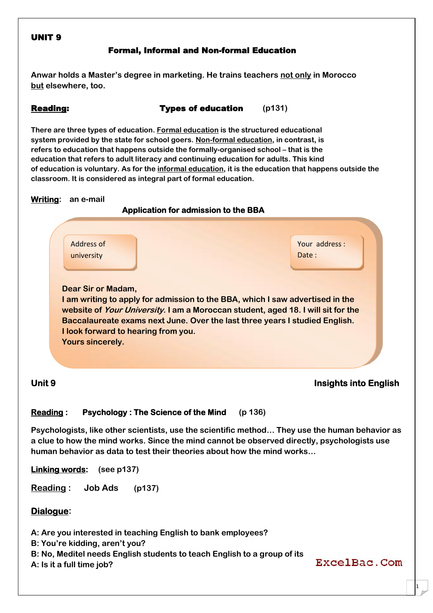## **UNIT 9**

## **Formal, Informal and Non-formal Education**

**Anwar holds a Master's degree in marketing. He trains teachers not only in Morocco but elsewhere, too.**

**Reading: Types of education (p131)**

**There are three types of education. Formal education is the structured educational system provided by the state for school goers. Non-formal education, in contrast, is refers to education that happens outside the formally-organised school – that is the education that refers to adult literacy and continuing education for adults. This kind of education is voluntary. As for the informal education, it is the education that happens outside the classroom. It is considered as integral part of formal education.**



## **Unit 9 Insights into English**

## **Reading : Psychology : The Science of the Mind (p 136)**

**Psychologists, like other scientists, use the scientific method… They use the human behavior as a clue to how the mind works. Since the mind cannot be observed directly, psychologists use human behavior as data to test their theories about how the mind works…**

**Linking words: (see p137)**

**Reading : Job Ads (p137)**

## **Dialogue:**

**A: Are you interested in teaching English to bank employees?**

- **B: You're kidding, aren't you?**
- **B: No, Meditel needs English students to teach English to a group of its**
- **A: Is it a full time job?**

ExcelBac.Com

1